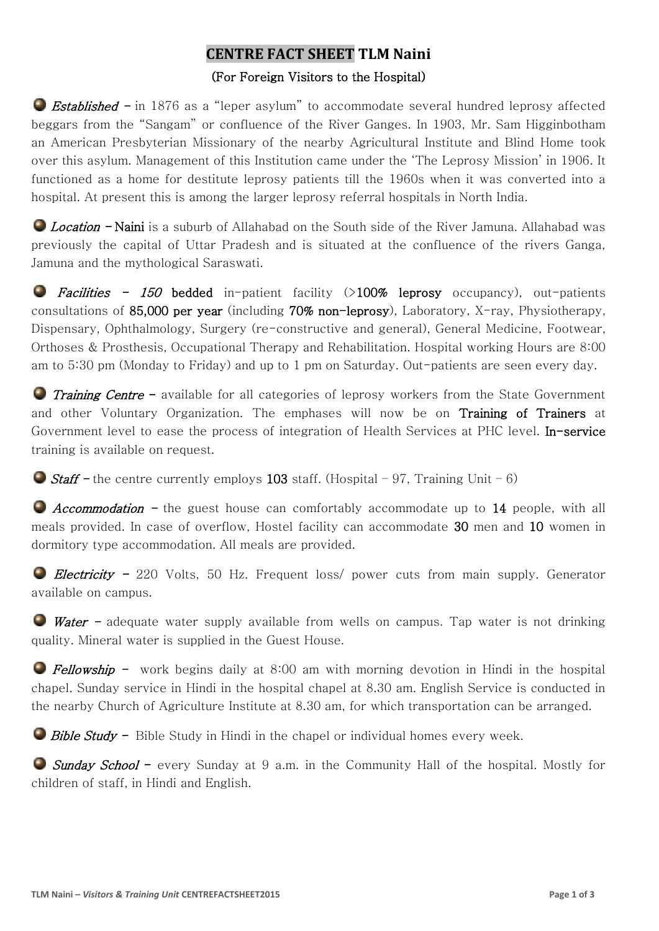# **CENTRE FACT SHEET TLM Naini**

## (For Foreign Visitors to the Hospital)

● *Established* – in 1876 as a "leper asylum" to accommodate several hundred leprosy affected beggars from the "Sangam" or confluence of the River Ganges. In 1903, Mr. Sam Higginbotham an American Presbyterian Missionary of the nearby Agricultural Institute and Blind Home took over this asylum. Management of this Institution came under the 'The Leprosy Mission' in 1906. It functioned as a home for destitute leprosy patients till the 1960s when it was converted into a hospital. At present this is among the larger leprosy referral hospitals in North India.

**C** Location - Naini is a suburb of Allahabad on the South side of the River Jamuna. Allahabad was previously the capital of Uttar Pradesh and is situated at the confluence of the rivers Ganga, Jamuna and the mythological Saraswati.

**P** Facilities - 150 bedded in-patient facility  $(>100\%$  leprosy occupancy), out-patients consultations of 85,000 per year (including 70% non-leprosy), Laboratory, X-ray, Physiotherapy, Dispensary, Ophthalmology, Surgery (re-constructive and general), General Medicine, Footwear, Orthoses & Prosthesis, Occupational Therapy and Rehabilitation. Hospital working Hours are 8:00 am to 5:30 pm (Monday to Friday) and up to 1 pm on Saturday. Out-patients are seen every day.

**Training Centre -** available for all categories of leprosy workers from the State Government and other Voluntary Organization. The emphases will now be on Training of Trainers at Government level to ease the process of integration of Health Services at PHC level. In-service training is available on request.

Staff - the centre currently employs 103 staff. (Hospital - 97, Training Unit - 6)

 $\bullet$  *Accommodation* - the guest house can comfortably accommodate up to 14 people, with all meals provided. In case of overflow, Hostel facility can accommodate 30 men and 10 women in dormitory type accommodation. All meals are provided.

**Electricity** - 220 Volts, 50 Hz. Frequent loss/ power cuts from main supply. Generator available on campus.

**Water** – adequate water supply available from wells on campus. Tap water is not drinking quality. Mineral water is supplied in the Guest House.

**Fellowship -** work begins daily at  $8:00$  am with morning devotion in Hindi in the hospital chapel. Sunday service in Hindi in the hospital chapel at 8.30 am. English Service is conducted in the nearby Church of Agriculture Institute at 8.30 am, for which transportation can be arranged.

 $\Box$  Bible Study - Bible Study in Hindi in the chapel or individual homes every week.

G Sunday School - every Sunday at 9 a.m. in the Community Hall of the hospital. Mostly for children of staff, in Hindi and English.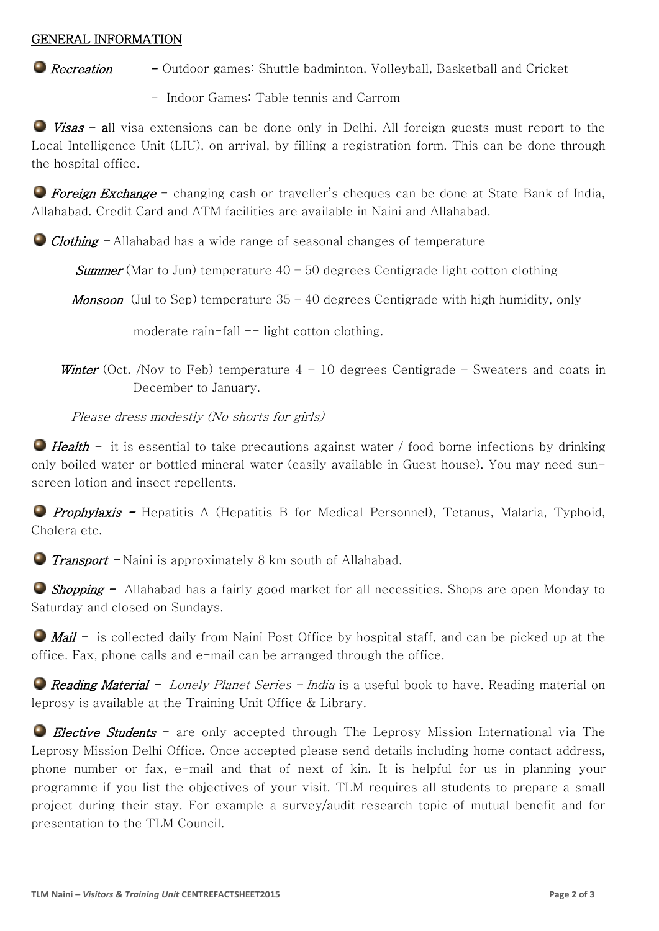#### GENERAL INFORMATION

- **C** Recreation Outdoor games: Shuttle badminton, Volleyball, Basketball and Cricket
	- Indoor Games: Table tennis and Carrom

 $\bullet$  *Visas* - all visa extensions can be done only in Delhi. All foreign guests must report to the Local Intelligence Unit (LIU), on arrival, by filling a registration form. This can be done through the hospital office.

**• Foreign Exchange** – changing cash or traveller's cheques can be done at State Bank of India, Allahabad. Credit Card and ATM facilities are available in Naini and Allahabad.

Clothing - Allahabad has a wide range of seasonal changes of temperature

**Summer** (Mar to Jun) temperature  $40 - 50$  degrees Centigrade light cotton clothing

**Monsoon** (Jul to Sep) temperature  $35 - 40$  degrees Centigrade with high humidity, only

moderate rain-fall  $--$  light cotton clothing.

Winter (Oct. /Nov to Feb) temperature  $4 - 10$  degrees Centigrade – Sweaters and coats in December to January.

Please dress modestly (No shorts for girls)

 $\bullet$  Health - it is essential to take precautions against water / food borne infections by drinking only boiled water or bottled mineral water (easily available in Guest house). You may need sunscreen lotion and insect repellents.

**Prophylaxis -** Hepatitis A (Hepatitis B for Medical Personnel), Tetanus, Malaria, Typhoid, Cholera etc.

**Transport - Naini is approximately 8 km south of Allahabad.** 

**Shopping -** Allahabad has a fairly good market for all necessities. Shops are open Monday to Saturday and closed on Sundays.

 $\bullet$  *Mail* - is collected daily from Naini Post Office by hospital staff, and can be picked up at the office. Fax, phone calls and e-mail can be arranged through the office.

**Reading Material -** Lonely Planet Series - India is a useful book to have. Reading material on leprosy is available at the Training Unit Office & Library.

Elective Students - are only accepted through The Leprosy Mission International via The Leprosy Mission Delhi Office. Once accepted please send details including home contact address, phone number or fax, e-mail and that of next of kin. It is helpful for us in planning your programme if you list the objectives of your visit. TLM requires all students to prepare a small project during their stay. For example a survey/audit research topic of mutual benefit and for presentation to the TLM Council.